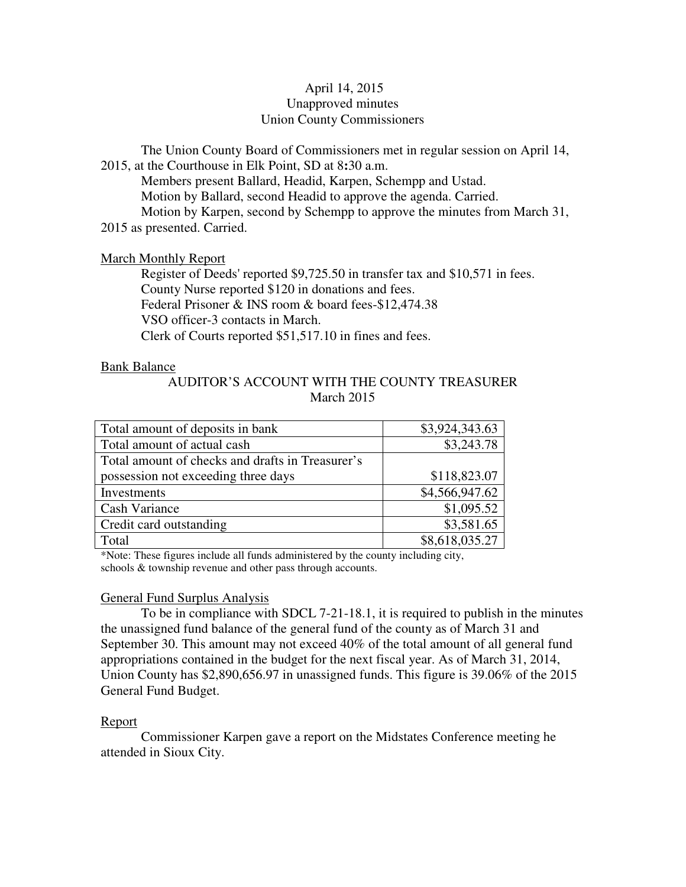# April 14, 2015 Unapproved minutes Union County Commissioners

The Union County Board of Commissioners met in regular session on April 14, 2015, at the Courthouse in Elk Point, SD at 8**:**30 a.m. Members present Ballard, Headid, Karpen, Schempp and Ustad.

 Motion by Ballard, second Headid to approve the agenda. Carried. Motion by Karpen, second by Schempp to approve the minutes from March 31, 2015 as presented. Carried.

## March Monthly Report

 Register of Deeds' reported \$9,725.50 in transfer tax and \$10,571 in fees. County Nurse reported \$120 in donations and fees. Federal Prisoner & INS room & board fees-\$12,474.38 VSO officer-3 contacts in March. Clerk of Courts reported \$51,517.10 in fines and fees.

## Bank Balance

# AUDITOR'S ACCOUNT WITH THE COUNTY TREASURER March 2015

| Total amount of deposits in bank                 | \$3,924,343.63             |
|--------------------------------------------------|----------------------------|
| Total amount of actual cash                      | \$3,243.78                 |
| Total amount of checks and drafts in Treasurer's |                            |
| possession not exceeding three days              | \$118,823.07               |
| Investments                                      | \$4,566,947.62             |
| <b>Cash Variance</b>                             | \$1,095.52                 |
| Credit card outstanding                          | \$3,581.65                 |
| Total                                            | $$8,618,035.\overline{27}$ |

\*Note: These figures include all funds administered by the county including city, schools & township revenue and other pass through accounts.

# General Fund Surplus Analysis

 To be in compliance with SDCL 7-21-18.1, it is required to publish in the minutes the unassigned fund balance of the general fund of the county as of March 31 and September 30. This amount may not exceed 40% of the total amount of all general fund appropriations contained in the budget for the next fiscal year. As of March 31, 2014, Union County has \$2,890,656.97 in unassigned funds. This figure is 39.06% of the 2015 General Fund Budget.

# Report

 Commissioner Karpen gave a report on the Midstates Conference meeting he attended in Sioux City.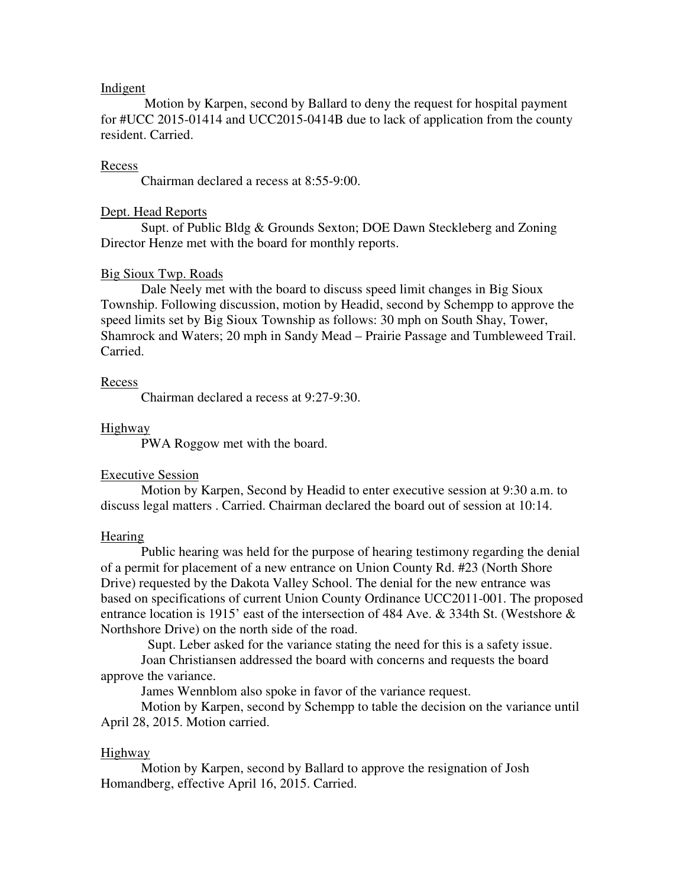## Indigent

 Motion by Karpen, second by Ballard to deny the request for hospital payment for #UCC 2015-01414 and UCC2015-0414B due to lack of application from the county resident. Carried.

#### Recess

Chairman declared a recess at 8:55-9:00.

#### Dept. Head Reports

 Supt. of Public Bldg & Grounds Sexton; DOE Dawn Steckleberg and Zoning Director Henze met with the board for monthly reports.

#### Big Sioux Twp. Roads

 Dale Neely met with the board to discuss speed limit changes in Big Sioux Township. Following discussion, motion by Headid, second by Schempp to approve the speed limits set by Big Sioux Township as follows: 30 mph on South Shay, Tower, Shamrock and Waters; 20 mph in Sandy Mead – Prairie Passage and Tumbleweed Trail. Carried.

#### **Recess**

Chairman declared a recess at 9:27-9:30.

### Highway

PWA Roggow met with the board.

#### Executive Session

 Motion by Karpen, Second by Headid to enter executive session at 9:30 a.m. to discuss legal matters . Carried. Chairman declared the board out of session at 10:14.

#### **Hearing**

 Public hearing was held for the purpose of hearing testimony regarding the denial of a permit for placement of a new entrance on Union County Rd. #23 (North Shore Drive) requested by the Dakota Valley School. The denial for the new entrance was based on specifications of current Union County Ordinance UCC2011-001. The proposed entrance location is 1915' east of the intersection of 484 Ave. & 334th St. (Westshore & Northshore Drive) on the north side of the road.

Supt. Leber asked for the variance stating the need for this is a safety issue.

 Joan Christiansen addressed the board with concerns and requests the board approve the variance.

James Wennblom also spoke in favor of the variance request.

 Motion by Karpen, second by Schempp to table the decision on the variance until April 28, 2015. Motion carried.

#### Highway

 Motion by Karpen, second by Ballard to approve the resignation of Josh Homandberg, effective April 16, 2015. Carried.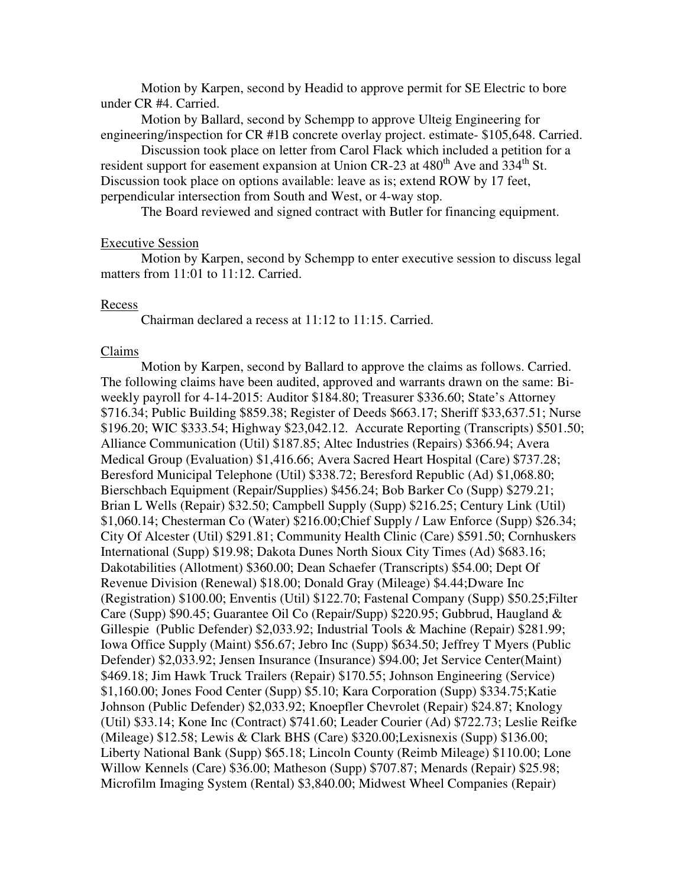Motion by Karpen, second by Headid to approve permit for SE Electric to bore under CR #4. Carried.

 Motion by Ballard, second by Schempp to approve Ulteig Engineering for engineering/inspection for CR #1B concrete overlay project. estimate- \$105,648. Carried.

 Discussion took place on letter from Carol Flack which included a petition for a resident support for easement expansion at Union CR-23 at  $480<sup>th</sup>$  Ave and  $334<sup>th</sup>$  St. Discussion took place on options available: leave as is; extend ROW by 17 feet, perpendicular intersection from South and West, or 4-way stop.

The Board reviewed and signed contract with Butler for financing equipment.

### Executive Session

 Motion by Karpen, second by Schempp to enter executive session to discuss legal matters from 11:01 to 11:12. Carried.

#### Recess

Chairman declared a recess at 11:12 to 11:15. Carried.

#### Claims

 Motion by Karpen, second by Ballard to approve the claims as follows. Carried. The following claims have been audited, approved and warrants drawn on the same: Biweekly payroll for 4-14-2015: Auditor \$184.80; Treasurer \$336.60; State's Attorney \$716.34; Public Building \$859.38; Register of Deeds \$663.17; Sheriff \$33,637.51; Nurse \$196.20; WIC \$333.54; Highway \$23,042.12. Accurate Reporting (Transcripts) \$501.50; Alliance Communication (Util) \$187.85; Altec Industries (Repairs) \$366.94; Avera Medical Group (Evaluation) \$1,416.66; Avera Sacred Heart Hospital (Care) \$737.28; Beresford Municipal Telephone (Util) \$338.72; Beresford Republic (Ad) \$1,068.80; Bierschbach Equipment (Repair/Supplies) \$456.24; Bob Barker Co (Supp) \$279.21; Brian L Wells (Repair) \$32.50; Campbell Supply (Supp) \$216.25; Century Link (Util) \$1,060.14; Chesterman Co (Water) \$216.00;Chief Supply / Law Enforce (Supp) \$26.34; City Of Alcester (Util) \$291.81; Community Health Clinic (Care) \$591.50; Cornhuskers International (Supp) \$19.98; Dakota Dunes North Sioux City Times (Ad) \$683.16; Dakotabilities (Allotment) \$360.00; Dean Schaefer (Transcripts) \$54.00; Dept Of Revenue Division (Renewal) \$18.00; Donald Gray (Mileage) \$4.44;Dware Inc (Registration) \$100.00; Enventis (Util) \$122.70; Fastenal Company (Supp) \$50.25;Filter Care (Supp) \$90.45; Guarantee Oil Co (Repair/Supp) \$220.95; Gubbrud, Haugland & Gillespie (Public Defender) \$2,033.92; Industrial Tools & Machine (Repair) \$281.99; Iowa Office Supply (Maint) \$56.67; Jebro Inc (Supp) \$634.50; Jeffrey T Myers (Public Defender) \$2,033.92; Jensen Insurance (Insurance) \$94.00; Jet Service Center(Maint) \$469.18; Jim Hawk Truck Trailers (Repair) \$170.55; Johnson Engineering (Service) \$1,160.00; Jones Food Center (Supp) \$5.10; Kara Corporation (Supp) \$334.75;Katie Johnson (Public Defender) \$2,033.92; Knoepfler Chevrolet (Repair) \$24.87; Knology (Util) \$33.14; Kone Inc (Contract) \$741.60; Leader Courier (Ad) \$722.73; Leslie Reifke (Mileage) \$12.58; Lewis & Clark BHS (Care) \$320.00;Lexisnexis (Supp) \$136.00; Liberty National Bank (Supp) \$65.18; Lincoln County (Reimb Mileage) \$110.00; Lone Willow Kennels (Care) \$36.00; Matheson (Supp) \$707.87; Menards (Repair) \$25.98; Microfilm Imaging System (Rental) \$3,840.00; Midwest Wheel Companies (Repair)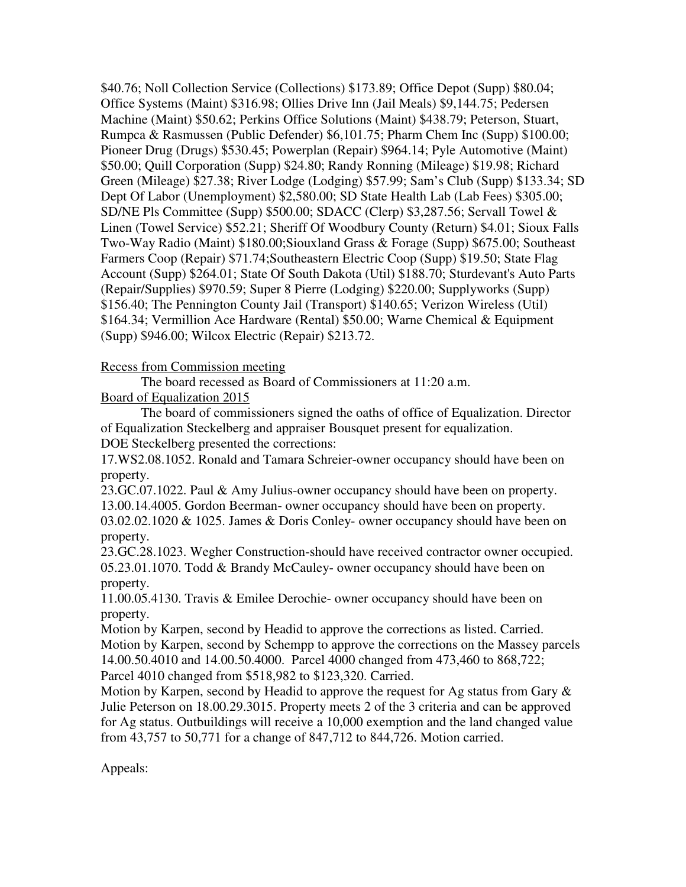\$40.76; Noll Collection Service (Collections) \$173.89; Office Depot (Supp) \$80.04; Office Systems (Maint) \$316.98; Ollies Drive Inn (Jail Meals) \$9,144.75; Pedersen Machine (Maint) \$50.62; Perkins Office Solutions (Maint) \$438.79; Peterson, Stuart, Rumpca & Rasmussen (Public Defender) \$6,101.75; Pharm Chem Inc (Supp) \$100.00; Pioneer Drug (Drugs) \$530.45; Powerplan (Repair) \$964.14; Pyle Automotive (Maint) \$50.00; Quill Corporation (Supp) \$24.80; Randy Ronning (Mileage) \$19.98; Richard Green (Mileage) \$27.38; River Lodge (Lodging) \$57.99; Sam's Club (Supp) \$133.34; SD Dept Of Labor (Unemployment) \$2,580.00; SD State Health Lab (Lab Fees) \$305.00; SD/NE Pls Committee (Supp) \$500.00; SDACC (Clerp) \$3,287.56; Servall Towel & Linen (Towel Service) \$52.21; Sheriff Of Woodbury County (Return) \$4.01; Sioux Falls Two-Way Radio (Maint) \$180.00;Siouxland Grass & Forage (Supp) \$675.00; Southeast Farmers Coop (Repair) \$71.74;Southeastern Electric Coop (Supp) \$19.50; State Flag Account (Supp) \$264.01; State Of South Dakota (Util) \$188.70; Sturdevant's Auto Parts (Repair/Supplies) \$970.59; Super 8 Pierre (Lodging) \$220.00; Supplyworks (Supp) \$156.40; The Pennington County Jail (Transport) \$140.65; Verizon Wireless (Util) \$164.34; Vermillion Ace Hardware (Rental) \$50.00; Warne Chemical & Equipment (Supp) \$946.00; Wilcox Electric (Repair) \$213.72.

# Recess from Commission meeting

 The board recessed as Board of Commissioners at 11:20 a.m. Board of Equalization 2015

 The board of commissioners signed the oaths of office of Equalization. Director of Equalization Steckelberg and appraiser Bousquet present for equalization. DOE Steckelberg presented the corrections:

17.WS2.08.1052. Ronald and Tamara Schreier-owner occupancy should have been on property.

23.GC.07.1022. Paul & Amy Julius-owner occupancy should have been on property. 13.00.14.4005. Gordon Beerman- owner occupancy should have been on property.  $03.02.02.1020 \& 1025$ . James & Doris Conley-owner occupancy should have been on property.

23.GC.28.1023. Wegher Construction-should have received contractor owner occupied. 05.23.01.1070. Todd & Brandy McCauley- owner occupancy should have been on property.

11.00.05.4130. Travis & Emilee Derochie- owner occupancy should have been on property.

Motion by Karpen, second by Headid to approve the corrections as listed. Carried. Motion by Karpen, second by Schempp to approve the corrections on the Massey parcels 14.00.50.4010 and 14.00.50.4000. Parcel 4000 changed from 473,460 to 868,722; Parcel 4010 changed from \$518,982 to \$123,320. Carried.

Motion by Karpen, second by Headid to approve the request for Ag status from Gary & Julie Peterson on 18.00.29.3015. Property meets 2 of the 3 criteria and can be approved for Ag status. Outbuildings will receive a 10,000 exemption and the land changed value from 43,757 to 50,771 for a change of 847,712 to 844,726. Motion carried.

Appeals: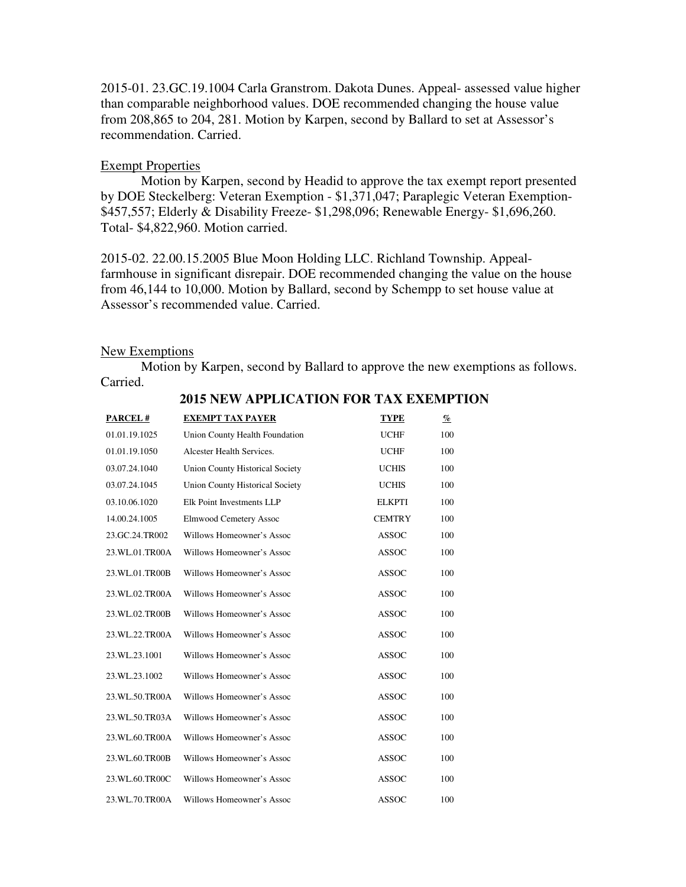2015-01. 23.GC.19.1004 Carla Granstrom. Dakota Dunes. Appeal- assessed value higher than comparable neighborhood values. DOE recommended changing the house value from 208,865 to 204, 281. Motion by Karpen, second by Ballard to set at Assessor's recommendation. Carried.

## Exempt Properties

 Motion by Karpen, second by Headid to approve the tax exempt report presented by DOE Steckelberg: Veteran Exemption - \$1,371,047; Paraplegic Veteran Exemption- \$457,557; Elderly & Disability Freeze- \$1,298,096; Renewable Energy- \$1,696,260. Total- \$4,822,960. Motion carried.

2015-02. 22.00.15.2005 Blue Moon Holding LLC. Richland Township. Appealfarmhouse in significant disrepair. DOE recommended changing the value on the house from 46,144 to 10,000. Motion by Ballard, second by Schempp to set house value at Assessor's recommended value. Carried.

### New Exemptions

 Motion by Karpen, second by Ballard to approve the new exemptions as follows. Carried.

| PARCEL#        | <b>EXEMPT TAX PAYER</b>                | <b>TYPE</b>   | $\frac{q}{\varrho}$ |
|----------------|----------------------------------------|---------------|---------------------|
| 01.01.19.1025  | Union County Health Foundation         | <b>UCHF</b>   | 100                 |
| 01.01.19.1050  | Alcester Health Services.              | <b>UCHF</b>   | 100                 |
| 03.07.24.1040  | <b>Union County Historical Society</b> | <b>UCHIS</b>  | 100                 |
| 03.07.24.1045  | <b>Union County Historical Society</b> | <b>UCHIS</b>  | 100                 |
| 03.10.06.1020  | Elk Point Investments LLP              | <b>ELKPTI</b> | 100                 |
| 14.00.24.1005  | <b>Elmwood Cemetery Assoc</b>          | <b>CEMTRY</b> | 100                 |
| 23.GC.24.TR002 | Willows Homeowner's Assoc              | <b>ASSOC</b>  | 100                 |
| 23.WL.01.TR00A | Willows Homeowner's Assoc              | <b>ASSOC</b>  | 100                 |
| 23.WL.01.TR00B | Willows Homeowner's Assoc              | <b>ASSOC</b>  | 100                 |
| 23.WL.02.TR00A | Willows Homeowner's Assoc              | <b>ASSOC</b>  | 100                 |
| 23.WL.02.TR00B | Willows Homeowner's Assoc              | <b>ASSOC</b>  | 100                 |
| 23.WL.22.TR00A | Willows Homeowner's Assoc              | <b>ASSOC</b>  | 100                 |
| 23.WL.23.1001  | Willows Homeowner's Assoc              | <b>ASSOC</b>  | 100                 |
| 23.WL.23.1002  | Willows Homeowner's Assoc              | <b>ASSOC</b>  | 100                 |
| 23.WL.50.TR00A | Willows Homeowner's Assoc              | <b>ASSOC</b>  | 100                 |
| 23.WL.50.TR03A | Willows Homeowner's Assoc              | <b>ASSOC</b>  | 100                 |
| 23.WL.60.TR00A | Willows Homeowner's Assoc              | <b>ASSOC</b>  | 100                 |
| 23.WL.60.TR00B | Willows Homeowner's Assoc              | <b>ASSOC</b>  | 100                 |
| 23.WL.60.TR00C | Willows Homeowner's Assoc              | <b>ASSOC</b>  | 100                 |
| 23.WL.70.TR00A | Willows Homeowner's Assoc              | <b>ASSOC</b>  | 100                 |

### **2015 NEW APPLICATION FOR TAX EXEMPTION**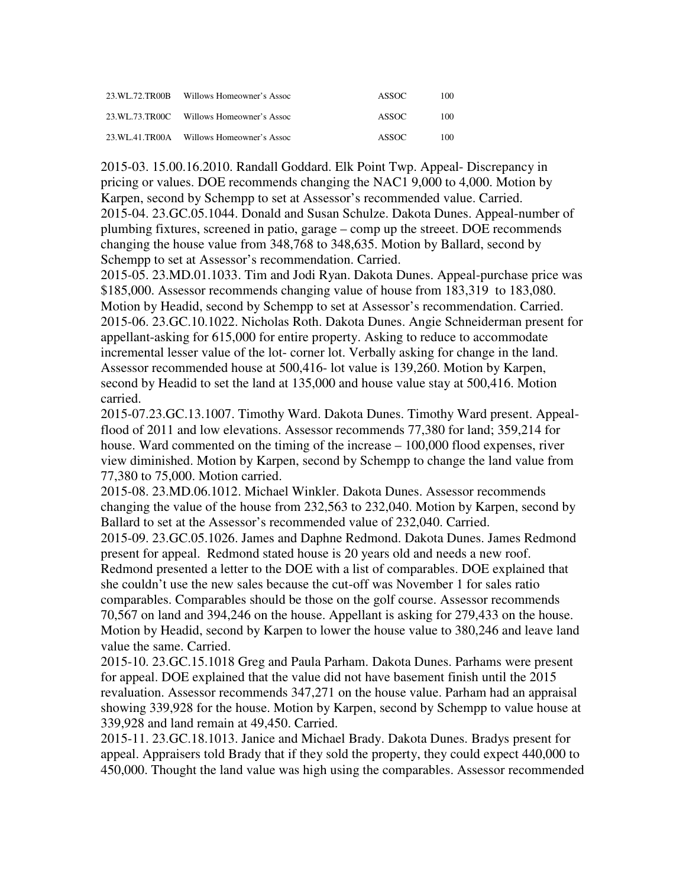| 23 WL 72 TR00B | Willows Homeowner's Assoc                | ASSOC. | 100 |
|----------------|------------------------------------------|--------|-----|
|                | 23.WL.73.TR00C Willows Homeowner's Assoc | ASSOC. | 100 |
|                | 23.WL.41.TR00A Willows Homeowner's Assoc | ASSOC. | 100 |

2015-03. 15.00.16.2010. Randall Goddard. Elk Point Twp. Appeal- Discrepancy in pricing or values. DOE recommends changing the NAC1 9,000 to 4,000. Motion by Karpen, second by Schempp to set at Assessor's recommended value. Carried. 2015-04. 23.GC.05.1044. Donald and Susan Schulze. Dakota Dunes. Appeal-number of plumbing fixtures, screened in patio, garage – comp up the streeet. DOE recommends changing the house value from 348,768 to 348,635. Motion by Ballard, second by Schempp to set at Assessor's recommendation. Carried.

2015-05. 23.MD.01.1033. Tim and Jodi Ryan. Dakota Dunes. Appeal-purchase price was \$185,000. Assessor recommends changing value of house from 183,319 to 183,080. Motion by Headid, second by Schempp to set at Assessor's recommendation. Carried. 2015-06. 23.GC.10.1022. Nicholas Roth. Dakota Dunes. Angie Schneiderman present for appellant-asking for 615,000 for entire property. Asking to reduce to accommodate incremental lesser value of the lot- corner lot. Verbally asking for change in the land. Assessor recommended house at 500,416- lot value is 139,260. Motion by Karpen, second by Headid to set the land at 135,000 and house value stay at 500,416. Motion carried.

2015-07.23.GC.13.1007. Timothy Ward. Dakota Dunes. Timothy Ward present. Appealflood of 2011 and low elevations. Assessor recommends 77,380 for land; 359,214 for house. Ward commented on the timing of the increase – 100,000 flood expenses, river view diminished. Motion by Karpen, second by Schempp to change the land value from 77,380 to 75,000. Motion carried.

2015-08. 23.MD.06.1012. Michael Winkler. Dakota Dunes. Assessor recommends changing the value of the house from 232,563 to 232,040. Motion by Karpen, second by Ballard to set at the Assessor's recommended value of 232,040. Carried.

2015-09. 23.GC.05.1026. James and Daphne Redmond. Dakota Dunes. James Redmond present for appeal. Redmond stated house is 20 years old and needs a new roof. Redmond presented a letter to the DOE with a list of comparables. DOE explained that she couldn't use the new sales because the cut-off was November 1 for sales ratio comparables. Comparables should be those on the golf course. Assessor recommends 70,567 on land and 394,246 on the house. Appellant is asking for 279,433 on the house. Motion by Headid, second by Karpen to lower the house value to 380,246 and leave land value the same. Carried.

2015-10. 23.GC.15.1018 Greg and Paula Parham. Dakota Dunes. Parhams were present for appeal. DOE explained that the value did not have basement finish until the 2015 revaluation. Assessor recommends 347,271 on the house value. Parham had an appraisal showing 339,928 for the house. Motion by Karpen, second by Schempp to value house at 339,928 and land remain at 49,450. Carried.

2015-11. 23.GC.18.1013. Janice and Michael Brady. Dakota Dunes. Bradys present for appeal. Appraisers told Brady that if they sold the property, they could expect 440,000 to 450,000. Thought the land value was high using the comparables. Assessor recommended